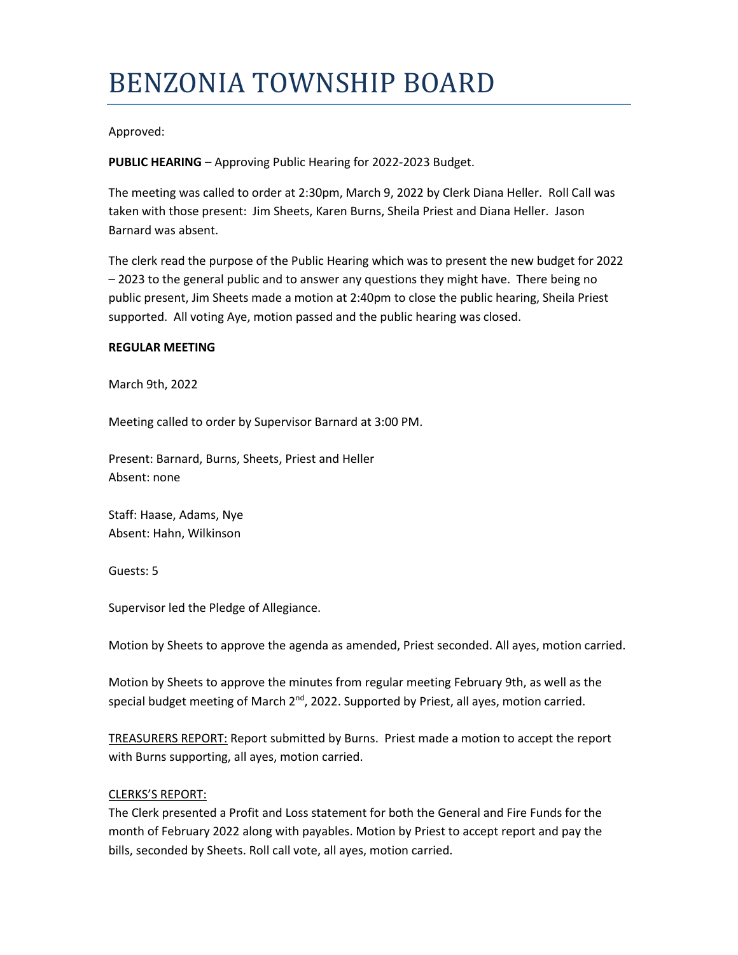# BENZONIA TOWNSHIP BOARD

## Approved:

**PUBLIC HEARING** – Approving Public Hearing for 2022-2023 Budget.

The meeting was called to order at 2:30pm, March 9, 2022 by Clerk Diana Heller. Roll Call was taken with those present: Jim Sheets, Karen Burns, Sheila Priest and Diana Heller. Jason Barnard was absent.

The clerk read the purpose of the Public Hearing which was to present the new budget for 2022 – 2023 to the general public and to answer any questions they might have. There being no public present, Jim Sheets made a motion at 2:40pm to close the public hearing, Sheila Priest supported. All voting Aye, motion passed and the public hearing was closed.

#### **REGULAR MEETING**

March 9th, 2022

Meeting called to order by Supervisor Barnard at 3:00 PM.

Present: Barnard, Burns, Sheets, Priest and Heller Absent: none

Staff: Haase, Adams, Nye Absent: Hahn, Wilkinson

Guests: 5

Supervisor led the Pledge of Allegiance.

Motion by Sheets to approve the agenda as amended, Priest seconded. All ayes, motion carried.

Motion by Sheets to approve the minutes from regular meeting February 9th, as well as the special budget meeting of March  $2<sup>nd</sup>$ , 2022. Supported by Priest, all ayes, motion carried.

TREASURERS REPORT: Report submitted by Burns. Priest made a motion to accept the report with Burns supporting, all ayes, motion carried.

### CLERKS'S REPORT:

The Clerk presented a Profit and Loss statement for both the General and Fire Funds for the month of February 2022 along with payables. Motion by Priest to accept report and pay the bills, seconded by Sheets. Roll call vote, all ayes, motion carried.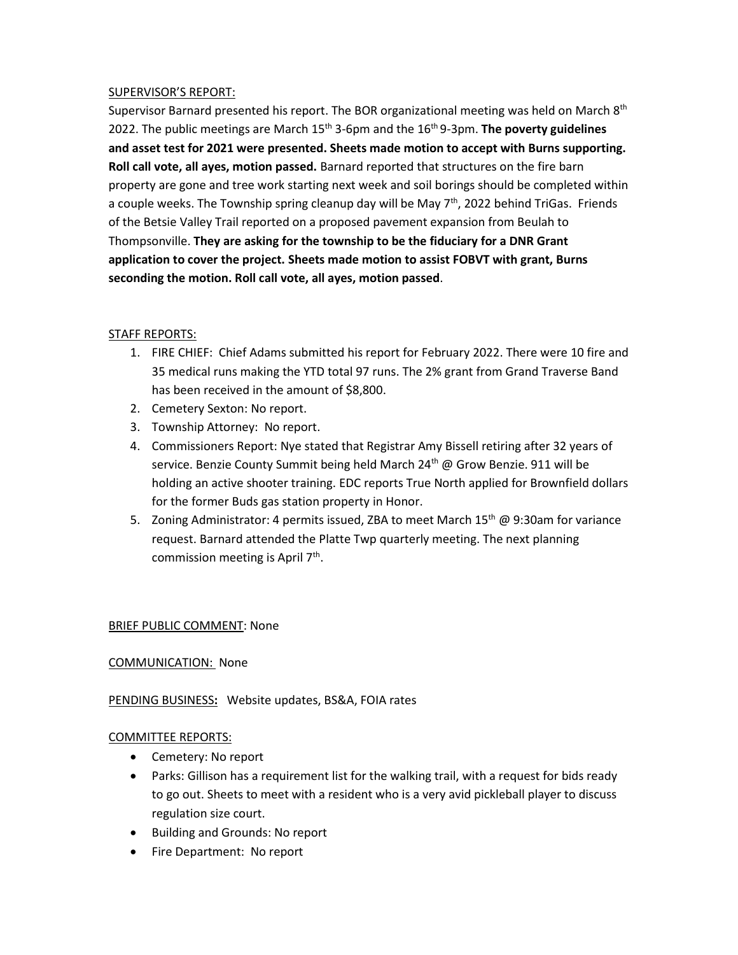### SUPERVISOR'S REPORT:

Supervisor Barnard presented his report. The BOR organizational meeting was held on March 8<sup>th</sup> 2022. The public meetings are March 15<sup>th</sup> 3-6pm and the 16<sup>th</sup> 9-3pm. **The poverty guidelines and asset test for 2021 were presented. Sheets made motion to accept with Burns supporting. Roll call vote, all ayes, motion passed.** Barnard reported that structures on the fire barn property are gone and tree work starting next week and soil borings should be completed within a couple weeks. The Township spring cleanup day will be May  $7<sup>th</sup>$ , 2022 behind TriGas. Friends of the Betsie Valley Trail reported on a proposed pavement expansion from Beulah to Thompsonville. **They are asking for the township to be the fiduciary for a DNR Grant application to cover the project. Sheets made motion to assist FOBVT with grant, Burns seconding the motion. Roll call vote, all ayes, motion passed**.

## STAFF REPORTS:

- 1. FIRE CHIEF: Chief Adams submitted his report for February 2022. There were 10 fire and 35 medical runs making the YTD total 97 runs. The 2% grant from Grand Traverse Band has been received in the amount of \$8,800.
- 2. Cemetery Sexton: No report.
- 3. Township Attorney: No report.
- 4. Commissioners Report: Nye stated that Registrar Amy Bissell retiring after 32 years of service. Benzie County Summit being held March  $24<sup>th</sup>$  @ Grow Benzie. 911 will be holding an active shooter training. EDC reports True North applied for Brownfield dollars for the former Buds gas station property in Honor.
- 5. Zoning Administrator: 4 permits issued, ZBA to meet March  $15<sup>th</sup>$  @ 9:30am for variance request. Barnard attended the Platte Twp quarterly meeting. The next planning commission meeting is April 7<sup>th</sup>.

## BRIEF PUBLIC COMMENT: None

## COMMUNICATION: None

## PENDING BUSINESS**:** Website updates, BS&A, FOIA rates

### COMMITTEE REPORTS:

- Cemetery: No report
- Parks: Gillison has a requirement list for the walking trail, with a request for bids ready to go out. Sheets to meet with a resident who is a very avid pickleball player to discuss regulation size court.
- Building and Grounds: No report
- Fire Department: No report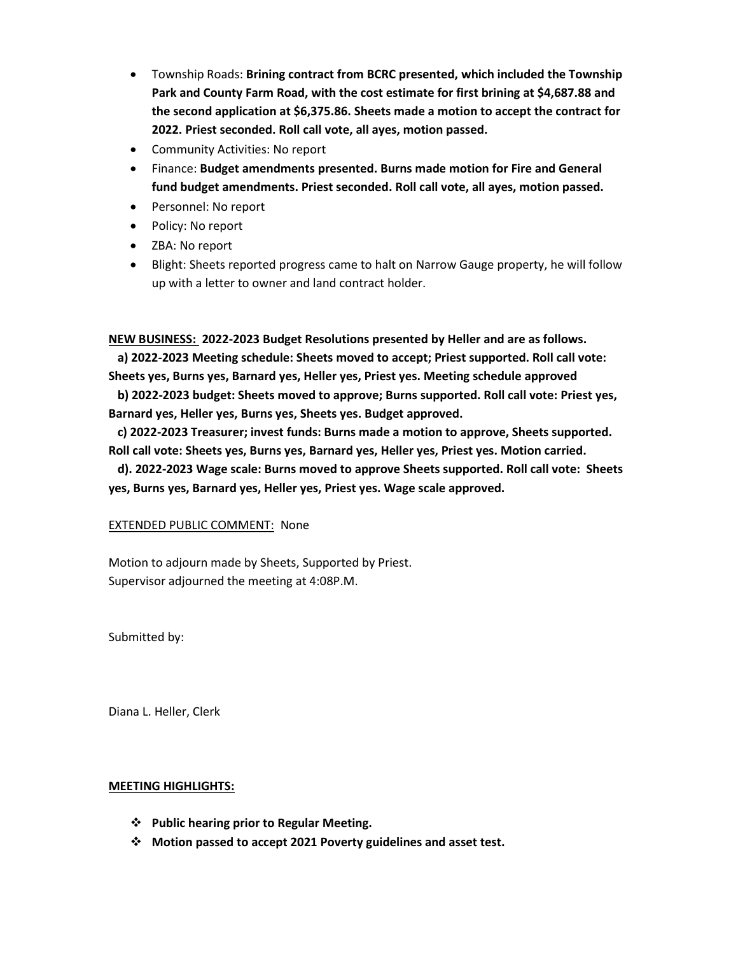- Township Roads: **Brining contract from BCRC presented, which included the Township Park and County Farm Road, with the cost estimate for first brining at \$4,687.88 and the second application at \$6,375.86. Sheets made a motion to accept the contract for 2022. Priest seconded. Roll call vote, all ayes, motion passed.**
- Community Activities: No report
- Finance: **Budget amendments presented. Burns made motion for Fire and General fund budget amendments. Priest seconded. Roll call vote, all ayes, motion passed.**
- Personnel: No report
- Policy: No report
- ZBA: No report
- Blight: Sheets reported progress came to halt on Narrow Gauge property, he will follow up with a letter to owner and land contract holder.

**NEW BUSINESS: 2022-2023 Budget Resolutions presented by Heller and are as follows.**

 **a) 2022-2023 Meeting schedule: Sheets moved to accept; Priest supported. Roll call vote: Sheets yes, Burns yes, Barnard yes, Heller yes, Priest yes. Meeting schedule approved** 

 **b) 2022-2023 budget: Sheets moved to approve; Burns supported. Roll call vote: Priest yes, Barnard yes, Heller yes, Burns yes, Sheets yes. Budget approved.**

 **c) 2022-2023 Treasurer; invest funds: Burns made a motion to approve, Sheets supported. Roll call vote: Sheets yes, Burns yes, Barnard yes, Heller yes, Priest yes. Motion carried.**

 **d). 2022-2023 Wage scale: Burns moved to approve Sheets supported. Roll call vote: Sheets yes, Burns yes, Barnard yes, Heller yes, Priest yes. Wage scale approved.**

### EXTENDED PUBLIC COMMENT: None

Motion to adjourn made by Sheets, Supported by Priest. Supervisor adjourned the meeting at 4:08P.M.

Submitted by:

Diana L. Heller, Clerk

### **MEETING HIGHLIGHTS:**

- ❖ **Public hearing prior to Regular Meeting.**
- ❖ **Motion passed to accept 2021 Poverty guidelines and asset test.**